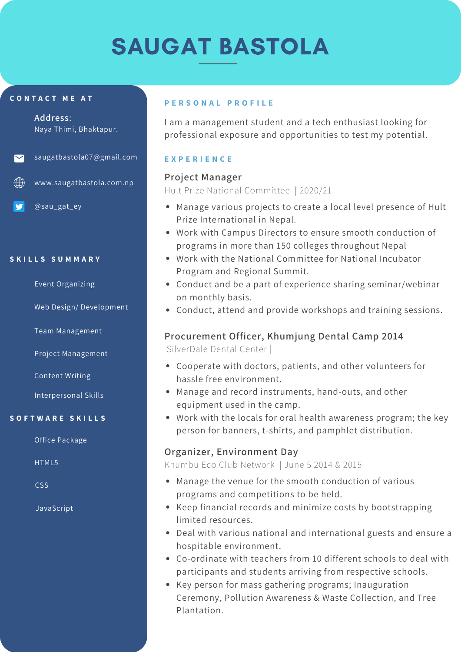# SAUGAT BASTOLA

#### **C O N T A C T M E A T**

**Address**: Naya Thimi, Bhaktapur.

#### saugatbastola07@gmail.com

 $\bigoplus$  www.saugatbastola.com.np

@sau\_gat\_ey

#### **S K I L L S S U M M A R Y**

Event Organizing

Web Design/ Development

Team Management

Project Management

Content Writing

Interpersonal Skills

#### **S O F T W A R E S K I L L S**

Office Package

HTML5

CSS

JavaScript

#### **P E R S O N A L P R O F I L E**

I am a management student and a tech enthusiast looking for professional exposure and opportunities to test my potential.

#### **E X P E R I E N C E**

### **Project Manager**

Hult Prize National Committee | 2020/21

- Manage various projects to create a local level presence of Hult Prize International in Nepal.
- Work with Campus Directors to ensure smooth conduction of programs in more than 150 colleges throughout Nepal
- Work with the National Committee for National Incubator Program and Regional Summit.
- Conduct and be a part of experience sharing seminar/webinar on monthly basis.
- Conduct, attend and provide workshops and training sessions.

# **Procurement Officer, Khumjung Dental Camp 2014**

SilverDale Dental Center |

- Cooperate with doctors, patients, and other volunteers for hassle free environment.
- Manage and record instruments, hand-outs, and other equipment used in the camp.
- Work with the locals for oral health awareness program; the key person for banners, t-shirts, and pamphlet distribution.

# **Organizer, Environment Day**

Khumbu Eco Club Network | June 5 2014 & 2015

- Manage the venue for the smooth conduction of various programs and competitions to be held.
- Keep financial records and minimize costs by bootstrapping limited resources.
- Deal with various national and international guests and ensure a hospitable environment.
- Co-ordinate with teachers from 10 different schools to deal with participants and students arriving from respective schools.
- Key person for mass gathering programs; Inauguration Ceremony, Pollution Awareness & Waste Collection, and Tree Plantation.